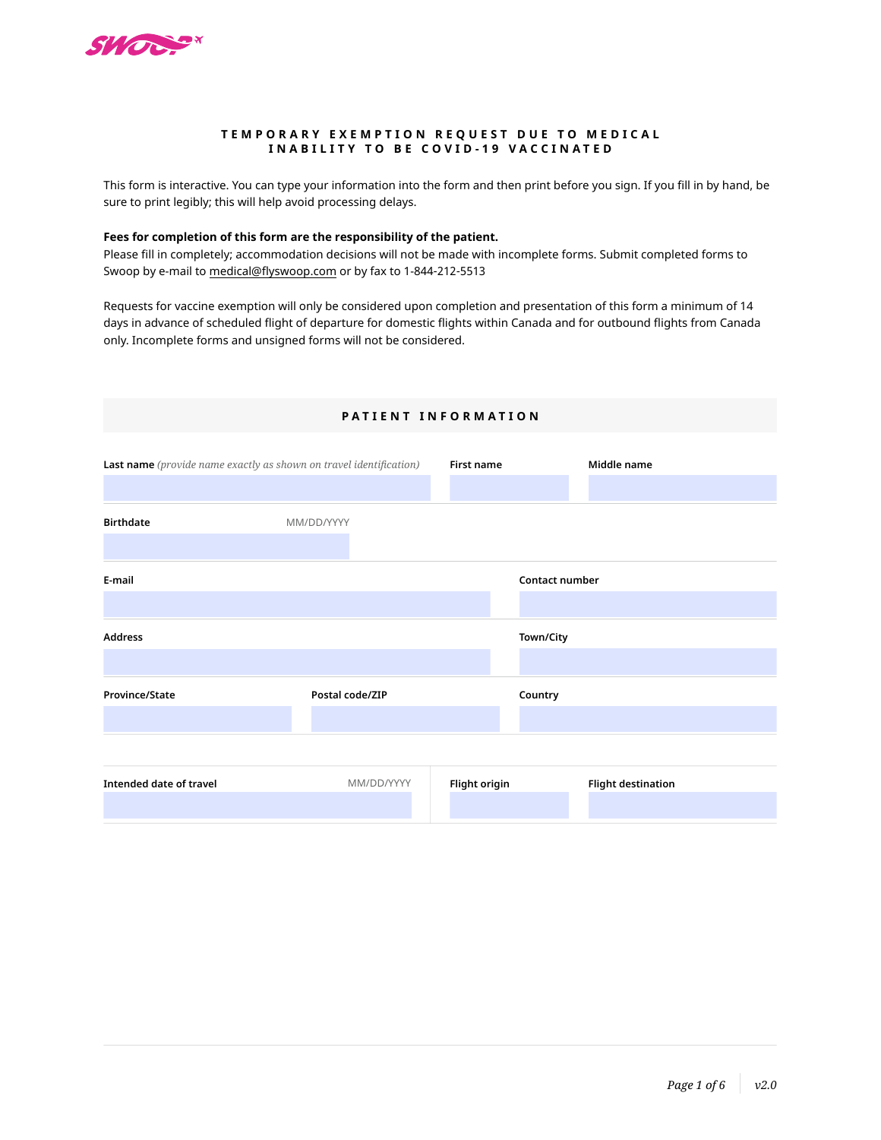

### **TEMPORARY EXEMPTION REQUEST DUE TO MEDICAL INABILITY TO BE COVID-19 VACCINATED**

This form is interactive. You can type your information into the form and then print before you sign. If you fill in by hand, be sure to print legibly; this will help avoid processing delays.

## **Fees for completion of this form are the responsibility of the patient.**

Please fill in completely; accommodation decisions will not be made with incomplete forms. Submit completed forms to Swoop by e-mail to medical@[flyswoop](mailto:meddesk%40westjet.com?subject=).com or by fax to 1-844-212-5513

Requests for vaccine exemption will only be considered upon completion and presentation of this form a minimum of 14 days in advance of scheduled flight of departure for domestic flights within Canada and for outbound flights from Canada only. Incomplete forms and unsigned forms will not be considered.

| <b>Last name</b> (provide name exactly as shown on travel identification) |                 | First name    | Middle name               |
|---------------------------------------------------------------------------|-----------------|---------------|---------------------------|
|                                                                           |                 |               |                           |
| <b>Birthdate</b>                                                          | MM/DD/YYYY      |               |                           |
|                                                                           |                 |               |                           |
| E-mail                                                                    |                 |               | Contact number            |
|                                                                           |                 |               |                           |
| Address                                                                   |                 |               | Town/City                 |
|                                                                           |                 |               |                           |
| Province/State                                                            | Postal code/ZIP |               | Country                   |
|                                                                           |                 |               |                           |
|                                                                           |                 |               |                           |
| Intended date of travel                                                   | MM/DD/YYYY      | Flight origin | <b>Flight destination</b> |
|                                                                           |                 |               |                           |

## **PATIENT INFORMATION**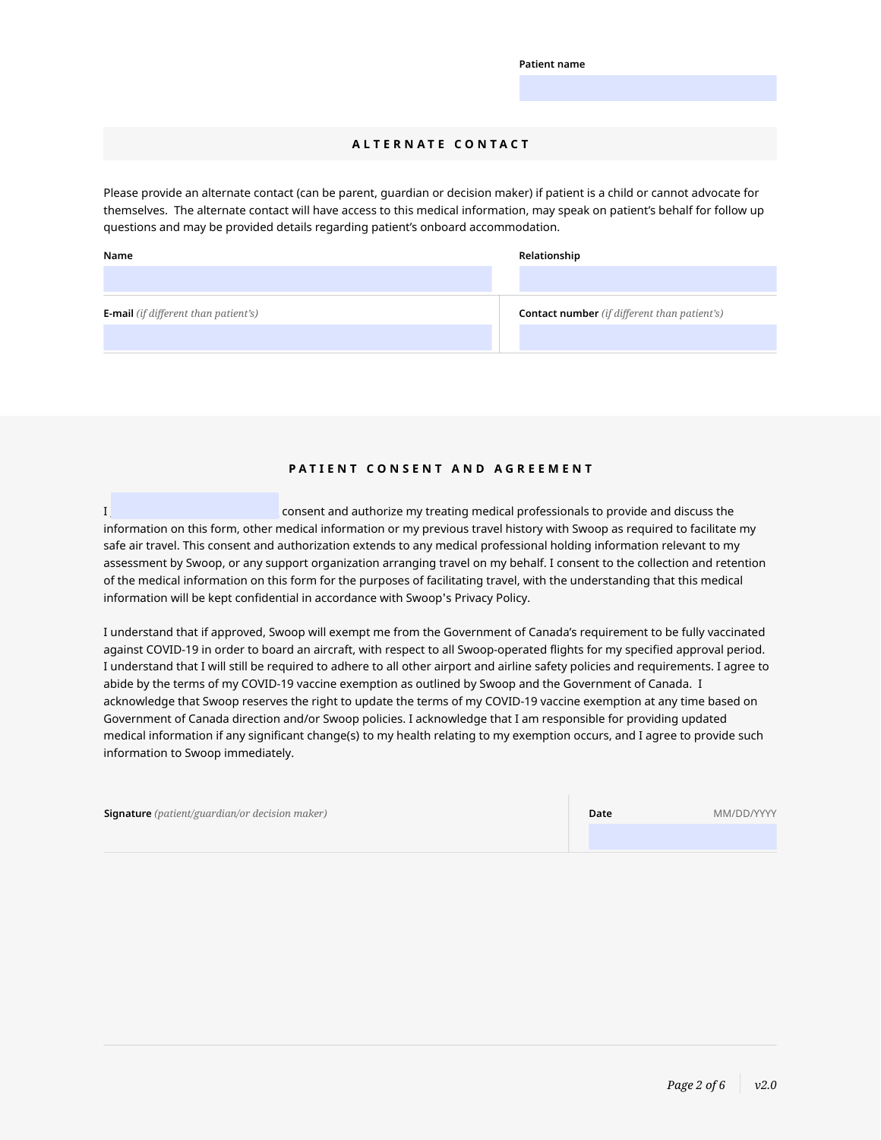# **ALTERNATE CONTACT**

Please provide an alternate contact (can be parent, guardian or decision maker) if patient is a child or cannot advocate for themselves. The alternate contact will have access to this medical information, may speak on patient's behalf for follow up questions and may be provided details regarding patient's onboard accommodation.

| Name                                        | Relationship                                        |
|---------------------------------------------|-----------------------------------------------------|
|                                             |                                                     |
| <b>E-mail</b> (if different than patient's) | <b>Contact number</b> (if different than patient's) |
|                                             |                                                     |

# **PATIENT CONSENT AND AGREEMENT**

I \_\_\_\_\_\_\_\_\_\_\_\_\_\_\_\_\_\_\_\_\_\_\_\_\_\_\_\_\_\_\_\_\_ consent and authorize my treating medical professionals to provide and discuss the information on this form, other medical information or my previous travel history with Swoop as required to facilitate my safe air travel. This consent and authorization extends to any medical professional holding information relevant to my assessment by Swoop, or any support organization arranging travel on my behalf. I consent to the collection and retention of the medical information on this form for the purposes of facilitating travel, with the understanding that this medical information will be kept confidential in accordance with Swoop's Privacy Policy.

I understand that if approved, Swoop will exempt me from the Government of Canada's requirement to be fully vaccinated against COVID-19 in order to board an aircraft, with respect to all Swoop-operated flights for my specified approval period. I understand that I will still be required to adhere to all other airport and airline safety policies and requirements. I agree to abide by the terms of my COVID-19 vaccine exemption as outlined by Swoop and the Government of Canada. I acknowledge that Swoop reserves the right to update the terms of my COVID-19 vaccine exemption at any time based on Government of Canada direction and/or Swoop policies. I acknowledge that I am responsible for providing updated medical information if any significant change(s) to my health relating to my exemption occurs, and I agree to provide such information to Swoop immediately.

| <b>Signature</b> (patient/guardian/or decision maker) | Date | MM/DD/YYYY |
|-------------------------------------------------------|------|------------|
|                                                       |      |            |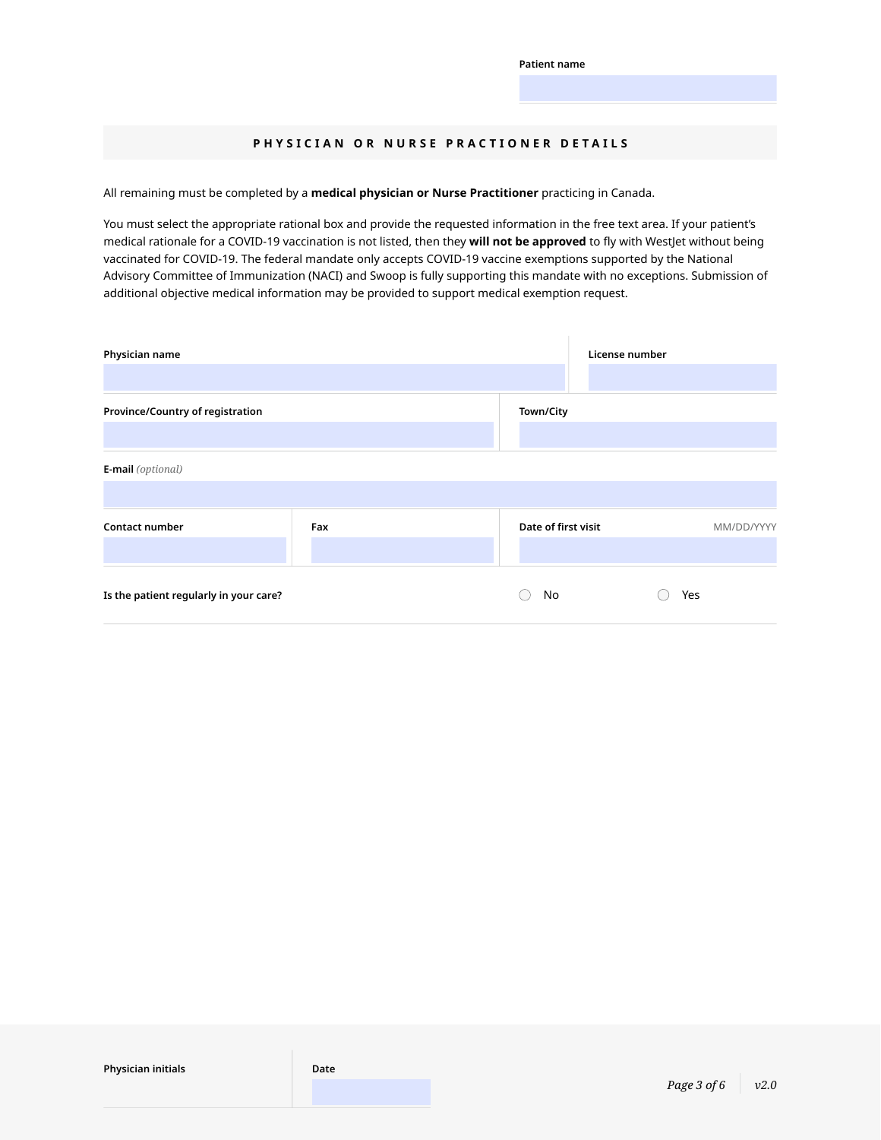## **PHYSICIAN OR NURSE PRACTIONER DETAILS**

All remaining must be completed by a **medical physician or Nurse Practitioner** practicing in Canada.

You must select the appropriate rational box and provide the requested information in the free text area. If your patient's medical rationale for a COVID-19 vaccination is not listed, then they **will not be approved** to fly with WestJet without being vaccinated for COVID-19. The federal mandate only accepts COVID-19 vaccine exemptions supported by the National Advisory Committee of Immunization (NACI) and Swoop is fully supporting this mandate with no exceptions. Submission of additional objective medical information may be provided to support medical exemption request.

| Physician name                         |     |                     | License number |            |
|----------------------------------------|-----|---------------------|----------------|------------|
| Province/Country of registration       |     | Town/City           |                |            |
| <b>E-mail</b> (optional)               |     |                     |                |            |
| <b>Contact number</b>                  | Fax | Date of first visit |                | MM/DD/YYYY |
| Is the patient regularly in your care? |     | No                  | Yes            |            |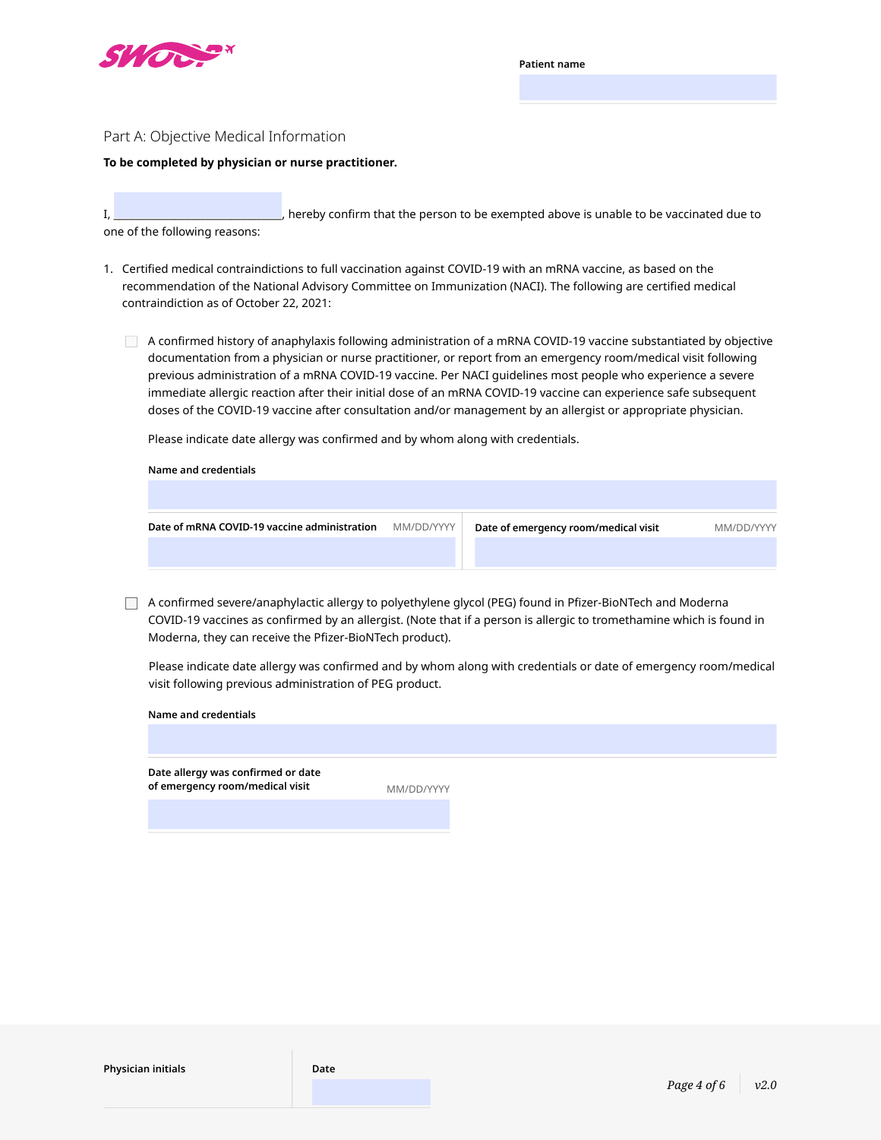

### Part A: Objective Medical Information

#### **To be completed by physician or nurse practitioner.**

I, \_\_\_\_\_\_\_\_\_\_\_\_\_\_\_\_\_\_\_\_\_\_\_\_\_\_\_\_\_\_\_\_\_, hereby confirm that the person to be exempted above is unable to be vaccinated due to one of the following reasons:

- 1. Certified medical contraindictions to full vaccination against COVID-19 with an mRNA vaccine, as based on the recommendation of the National Advisory Committee on Immunization (NACI). The following are certified medical contraindiction as of October 22, 2021:
	- A confirmed history of anaphylaxis following administration of a mRNA COVID-19 vaccine substantiated by objective documentation from a physician or nurse practitioner, or report from an emergency room/medical visit following previous administration of a mRNA COVID-19 vaccine. Per NACI guidelines most people who experience a severe immediate allergic reaction after their initial dose of an mRNA COVID-19 vaccine can experience safe subsequent doses of the COVID-19 vaccine after consultation and/or management by an allergist or appropriate physician.

Please indicate date allergy was confirmed and by whom along with credentials.

**Name and credentials**

**Name and credentials**

| Date of mRNA COVID-19 vaccine administration | MM/DD/YYYY | Date of emergency room/medical visit | MM/DD/YYYY |
|----------------------------------------------|------------|--------------------------------------|------------|
|                                              |            |                                      |            |
|                                              |            |                                      |            |

A confirmed severe/anaphylactic allergy to polyethylene glycol (PEG) found in Pfizer-BioNTech and Moderna COVID-19 vaccines as confirmed by an allergist. (Note that if a person is allergic to tromethamine which is found in Moderna, they can receive the Pfizer-BioNTech product).

Please indicate date allergy was confirmed and by whom along with credentials or date of emergency room/medical visit following previous administration of PEG product.

**Date allergy was confirmed or date of emergency room/medical visit** MM/DD/YYYYY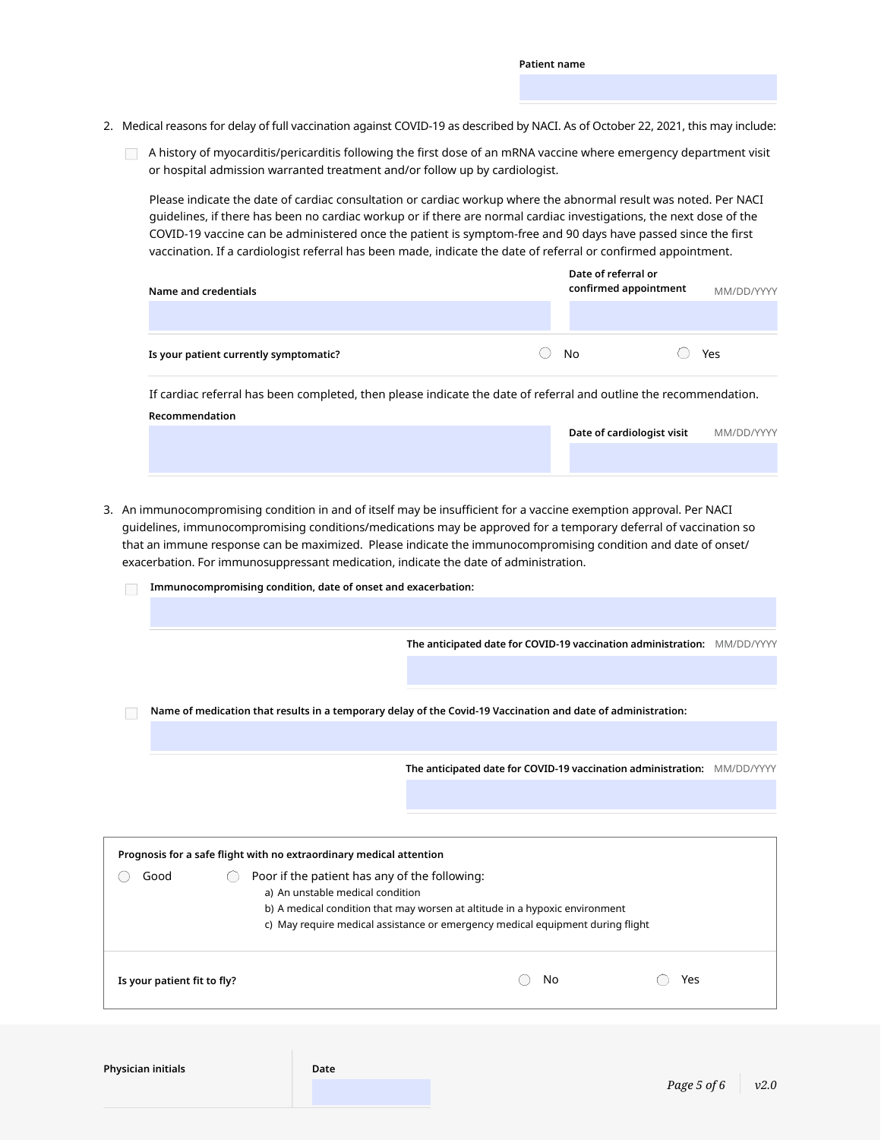- 2. Medical reasons for delay of full vaccination against COVID-19 as described by NACI. As of October 22, 2021, this may include:
	- A history of myocarditis/pericarditis following the first dose of an mRNA vaccine where emergency department visit or hospital admission warranted treatment and/or follow up by cardiologist.

Please indicate the date of cardiac consultation or cardiac workup where the abnormal result was noted. Per NACI guidelines, if there has been no cardiac workup or if there are normal cardiac investigations, the next dose of the COVID-19 vaccine can be administered once the patient is symptom-free and 90 days have passed since the first vaccination. If a cardiologist referral has been made, indicate the date of referral or confirmed appointment.

| Name and credentials                   |           | Date of referral or<br>confirmed appointment | MM/DD/YYYY |
|----------------------------------------|-----------|----------------------------------------------|------------|
|                                        |           |                                              |            |
| Is your patient currently symptomatic? | <b>No</b> |                                              | Yes        |

**Recommendation** If cardiac referral has been completed, then please indicate the date of referral and outline the recommendation.

| Date of cardiologist visit | MM/DD/YYYY |
|----------------------------|------------|
|                            |            |
|                            |            |

3. An immunocompromising condition in and of itself may be insufficient for a vaccine exemption approval. Per NACI guidelines, immunocompromising conditions/medications may be approved for a temporary deferral of vaccination so that an immune response can be maximized. Please indicate the immunocompromising condition and date of onset/ exacerbation. For immunosuppressant medication, indicate the date of administration.

| Is your patient fit to fly?                                                               | Yes<br>No                                                                                                    |  |
|-------------------------------------------------------------------------------------------|--------------------------------------------------------------------------------------------------------------|--|
|                                                                                           |                                                                                                              |  |
|                                                                                           | c) May require medical assistance or emergency medical equipment during flight                               |  |
|                                                                                           | b) A medical condition that may worsen at altitude in a hypoxic environment                                  |  |
| Good<br>Poor if the patient has any of the following:<br>a) An unstable medical condition |                                                                                                              |  |
| Prognosis for a safe flight with no extraordinary medical attention                       |                                                                                                              |  |
|                                                                                           |                                                                                                              |  |
|                                                                                           |                                                                                                              |  |
|                                                                                           | The anticipated date for COVID-19 vaccination administration: MM/DD/YYYY                                     |  |
|                                                                                           |                                                                                                              |  |
|                                                                                           | Name of medication that results in a temporary delay of the Covid-19 Vaccination and date of administration: |  |
|                                                                                           |                                                                                                              |  |
|                                                                                           |                                                                                                              |  |
|                                                                                           | The anticipated date for COVID-19 vaccination administration: MM/DD/YYYY                                     |  |
|                                                                                           |                                                                                                              |  |
|                                                                                           | Immunocompromising condition, date of onset and exacerbation:                                                |  |